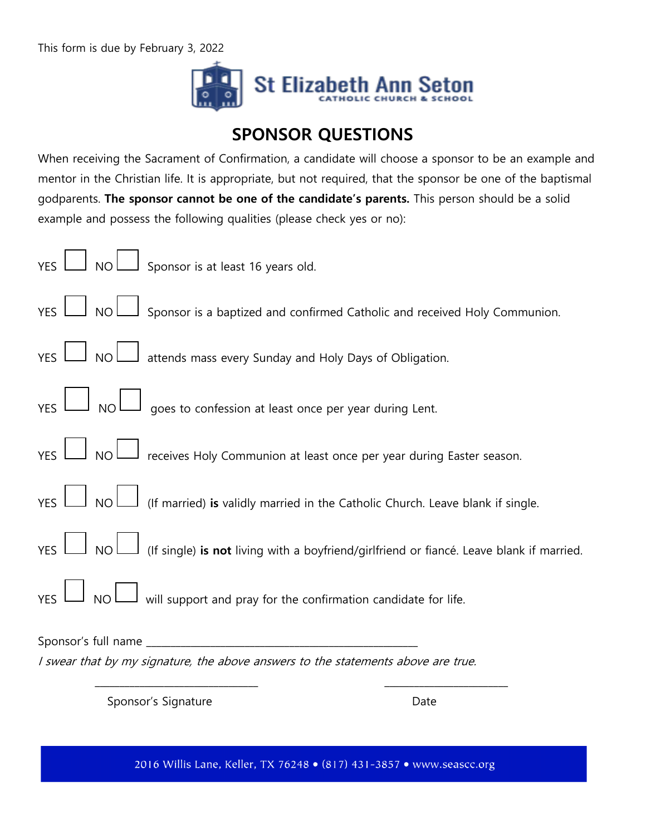This form is due by February 3, 2022



## **SPONSOR QUESTIONS**

When receiving the Sacrament of Confirmation, a candidate will choose a sponsor to be an example and mentor in the Christian life. It is appropriate, but not required, that the sponsor be one of the baptismal godparents. **The sponsor cannot be one of the candidate's parents.** This person should be a solid example and possess the following qualities (please check yes or no):

| YES UNOUS ponsor is at least 16 years old.                                                                    |
|---------------------------------------------------------------------------------------------------------------|
| YES $\Box$ NO $\Box$ Sponsor is a baptized and confirmed Catholic and received Holy Communion.                |
| $YES$ $\Box$ NO $\Box$ attends mass every Sunday and Holy Days of Obligation.                                 |
| $YES$ $\Box$ NO $\Box$ goes to confession at least once per year during Lent.                                 |
| YES NOU receives Holy Communion at least once per year during Easter season.                                  |
| YES $\Box$ NO $\Box$ (If married) is validly married in the Catholic Church. Leave blank if single.           |
| YES $\Box$ NO $\Box$ (If single) is not living with a boyfriend/girlfriend or fiancé. Leave blank if married. |
| $YES$ $\Box$ NO $\Box$ will support and pray for the confirmation candidate for life.                         |
| I swear that by my signature, the above answers to the statements above are true.                             |

Sponsor's Signature Date

2016 Willis Lane, Keller, TX 76248 · (817) 431-3857 · www.seascc.org

\_\_\_\_\_\_\_\_\_\_\_\_\_\_\_\_\_\_\_\_\_\_\_\_\_\_\_\_\_\_\_\_\_ \_\_\_\_\_\_\_\_\_\_\_\_\_\_\_\_\_\_\_\_\_\_\_\_\_